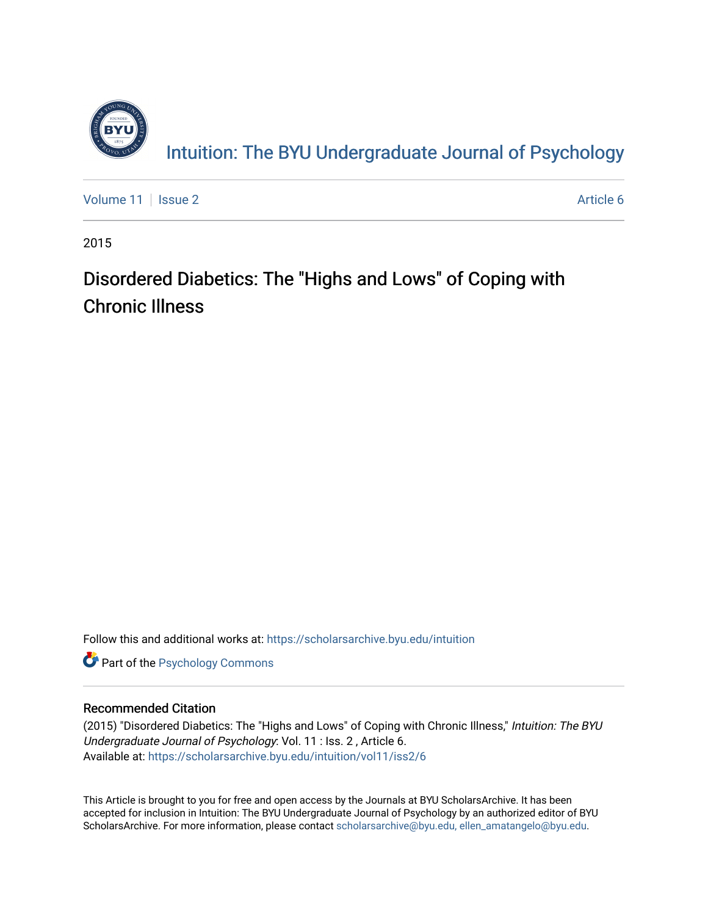

[Volume 11](https://scholarsarchive.byu.edu/intuition/vol11) | [Issue 2](https://scholarsarchive.byu.edu/intuition/vol11/iss2) Article 6

2015

# Disordered Diabetics: The "Highs and Lows" of Coping with Chronic Illness

Follow this and additional works at: [https://scholarsarchive.byu.edu/intuition](https://scholarsarchive.byu.edu/intuition?utm_source=scholarsarchive.byu.edu%2Fintuition%2Fvol11%2Fiss2%2F6&utm_medium=PDF&utm_campaign=PDFCoverPages) 

**Part of the Psychology Commons** 

## Recommended Citation

(2015) "Disordered Diabetics: The "Highs and Lows" of Coping with Chronic Illness," Intuition: The BYU Undergraduate Journal of Psychology: Vol. 11 : Iss. 2 , Article 6. Available at: [https://scholarsarchive.byu.edu/intuition/vol11/iss2/6](https://scholarsarchive.byu.edu/intuition/vol11/iss2/6?utm_source=scholarsarchive.byu.edu%2Fintuition%2Fvol11%2Fiss2%2F6&utm_medium=PDF&utm_campaign=PDFCoverPages) 

This Article is brought to you for free and open access by the Journals at BYU ScholarsArchive. It has been accepted for inclusion in Intuition: The BYU Undergraduate Journal of Psychology by an authorized editor of BYU ScholarsArchive. For more information, please contact [scholarsarchive@byu.edu, ellen\\_amatangelo@byu.edu.](mailto:scholarsarchive@byu.edu,%20ellen_amatangelo@byu.edu)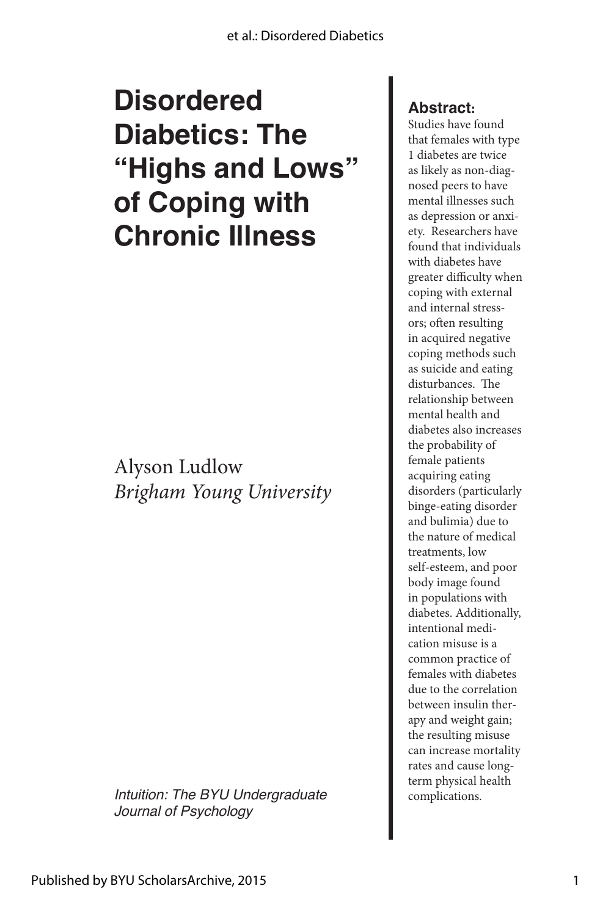# **Disordered Diabetics: The "Highs and Lows" of Coping with Chronic Illness**

Alyson Ludlow *Brigham Young University*

*Intuition: The BYU Undergraduate* **complications.** *Journal of Psychology*

## **Abstract:**

Studies have found that females with type 1 diabetes are twice as likely as non-diagnosed peers to have mental illnesses such as depression or anxiety. Researchers have found that individuals with diabetes have greater difficulty when coping with external and internal stressors; often resulting in acquired negative coping methods such as suicide and eating disturbances. The relationship between mental health and diabetes also increases the probability of female patients acquiring eating disorders (particularly binge-eating disorder and bulimia) due to the nature of medical treatments, low self-esteem, and poor body image found in populations with diabetes. Additionally, intentional medication misuse is a common practice of females with diabetes due to the correlation between insulin therapy and weight gain; the resulting misuse can increase mortality rates and cause longterm physical health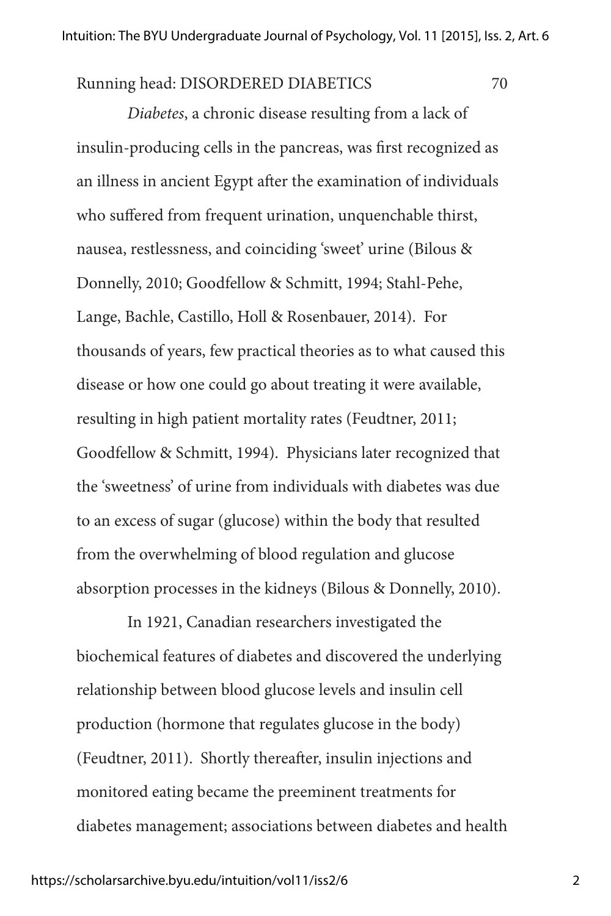Running head: DISORDERED DIABETICS 70

*Diabetes*, a chronic disease resulting from a lack of insulin-producing cells in the pancreas, was first recognized as an illness in ancient Egypt after the examination of individuals who suffered from frequent urination, unquenchable thirst, nausea, restlessness, and coinciding 'sweet' urine (Bilous & Donnelly, 2010; Goodfellow & Schmitt, 1994; Stahl-Pehe, Lange, Bachle, Castillo, Holl & Rosenbauer, 2014). For thousands of years, few practical theories as to what caused this disease or how one could go about treating it were available, resulting in high patient mortality rates (Feudtner, 2011; Goodfellow & Schmitt, 1994). Physicians later recognized that the 'sweetness' of urine from individuals with diabetes was due to an excess of sugar (glucose) within the body that resulted from the overwhelming of blood regulation and glucose absorption processes in the kidneys (Bilous & Donnelly, 2010).

In 1921, Canadian researchers investigated the biochemical features of diabetes and discovered the underlying relationship between blood glucose levels and insulin cell production (hormone that regulates glucose in the body) (Feudtner, 2011). Shortly thereafter, insulin injections and monitored eating became the preeminent treatments for diabetes management; associations between diabetes and health

2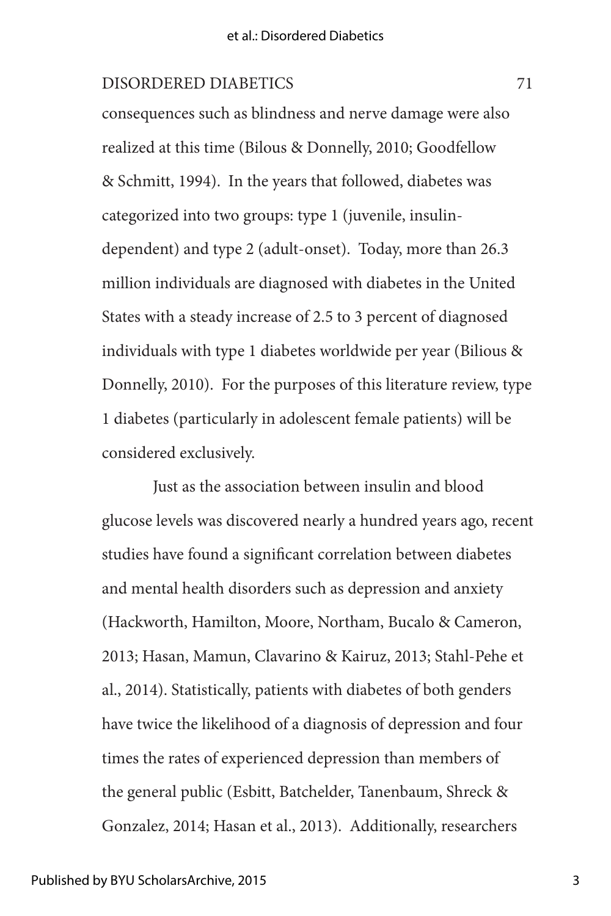consequences such as blindness and nerve damage were also realized at this time (Bilous & Donnelly, 2010; Goodfellow & Schmitt, 1994). In the years that followed, diabetes was categorized into two groups: type 1 (juvenile, insulindependent) and type 2 (adult-onset). Today, more than 26.3 million individuals are diagnosed with diabetes in the United States with a steady increase of 2.5 to 3 percent of diagnosed individuals with type 1 diabetes worldwide per year (Bilious & Donnelly, 2010). For the purposes of this literature review, type 1 diabetes (particularly in adolescent female patients) will be considered exclusively.

Just as the association between insulin and blood glucose levels was discovered nearly a hundred years ago, recent studies have found a significant correlation between diabetes and mental health disorders such as depression and anxiety (Hackworth, Hamilton, Moore, Northam, Bucalo & Cameron, 2013; Hasan, Mamun, Clavarino & Kairuz, 2013; Stahl-Pehe et al., 2014). Statistically, patients with diabetes of both genders have twice the likelihood of a diagnosis of depression and four times the rates of experienced depression than members of the general public (Esbitt, Batchelder, Tanenbaum, Shreck & Gonzalez, 2014; Hasan et al., 2013). Additionally, researchers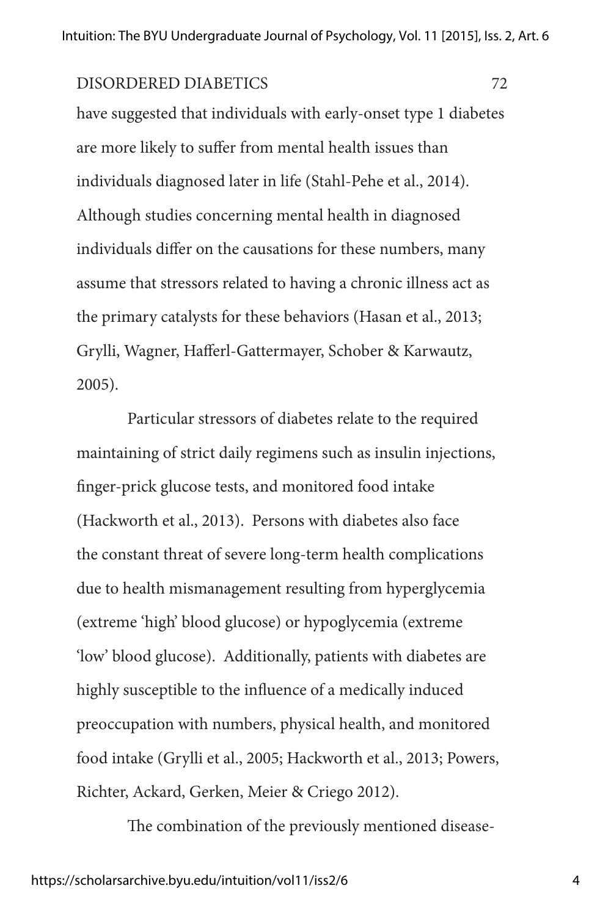have suggested that individuals with early-onset type 1 diabetes are more likely to suffer from mental health issues than individuals diagnosed later in life (Stahl-Pehe et al., 2014). Although studies concerning mental health in diagnosed individuals differ on the causations for these numbers, many assume that stressors related to having a chronic illness act as the primary catalysts for these behaviors (Hasan et al., 2013; Grylli, Wagner, Hafferl-Gattermayer, Schober & Karwautz, 2005).

Particular stressors of diabetes relate to the required maintaining of strict daily regimens such as insulin injections, finger-prick glucose tests, and monitored food intake (Hackworth et al., 2013). Persons with diabetes also face the constant threat of severe long-term health complications due to health mismanagement resulting from hyperglycemia (extreme 'high' blood glucose) or hypoglycemia (extreme 'low' blood glucose). Additionally, patients with diabetes are highly susceptible to the influence of a medically induced preoccupation with numbers, physical health, and monitored food intake (Grylli et al., 2005; Hackworth et al., 2013; Powers, Richter, Ackard, Gerken, Meier & Criego 2012).

The combination of the previously mentioned disease-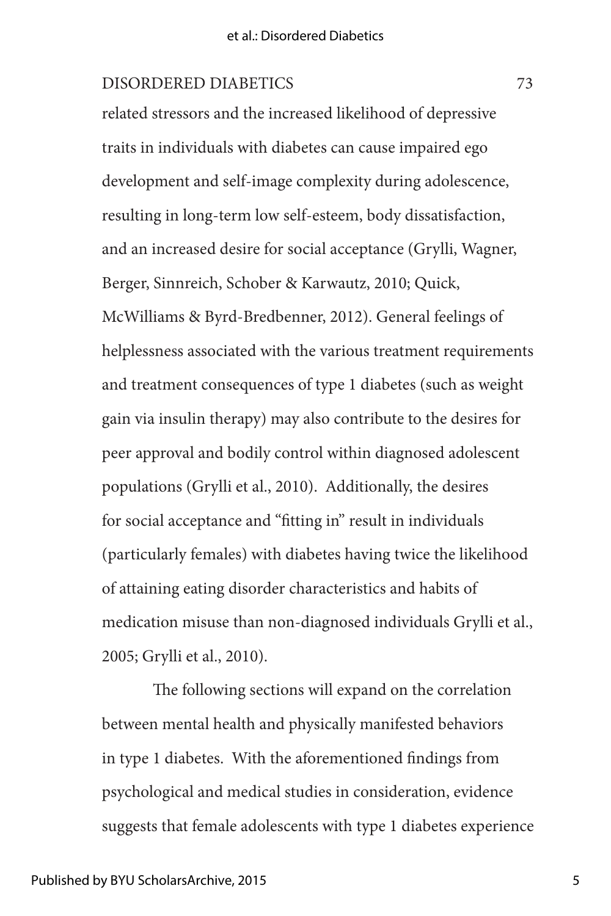related stressors and the increased likelihood of depressive traits in individuals with diabetes can cause impaired ego development and self-image complexity during adolescence, resulting in long-term low self-esteem, body dissatisfaction, and an increased desire for social acceptance (Grylli, Wagner, Berger, Sinnreich, Schober & Karwautz, 2010; Quick, McWilliams & Byrd-Bredbenner, 2012). General feelings of helplessness associated with the various treatment requirements and treatment consequences of type 1 diabetes (such as weight gain via insulin therapy) may also contribute to the desires for peer approval and bodily control within diagnosed adolescent populations (Grylli et al., 2010). Additionally, the desires for social acceptance and "fitting in" result in individuals (particularly females) with diabetes having twice the likelihood of attaining eating disorder characteristics and habits of medication misuse than non-diagnosed individuals Grylli et al., 2005; Grylli et al., 2010).

The following sections will expand on the correlation between mental health and physically manifested behaviors in type 1 diabetes. With the aforementioned findings from psychological and medical studies in consideration, evidence suggests that female adolescents with type 1 diabetes experience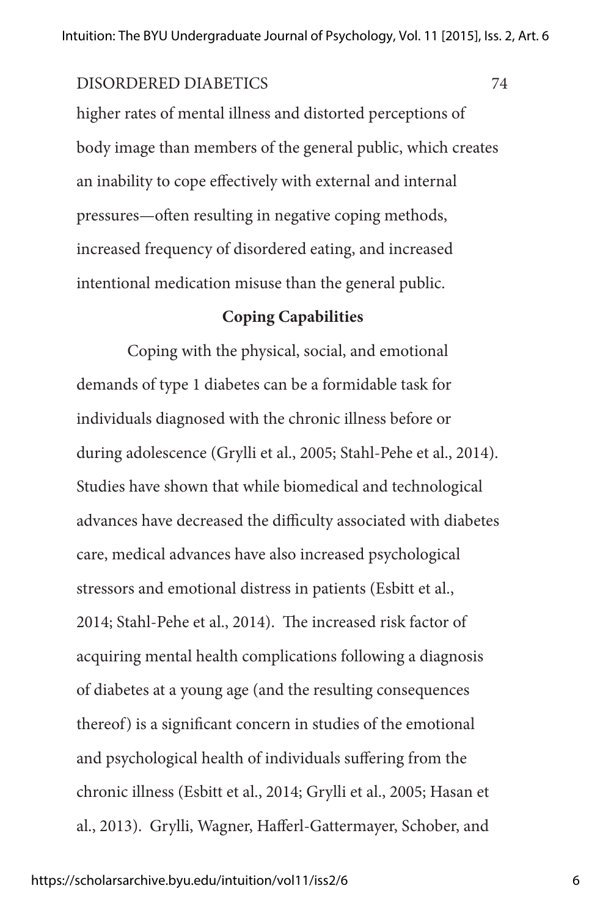higher rates of mental illness and distorted perceptions of body image than members of the general public, which creates an inability to cope effectively with external and internal pressures—often resulting in negative coping methods, increased frequency of disordered eating, and increased intentional medication misuse than the general public.

## **Coping Capabilities**

Coping with the physical, social, and emotional demands of type 1 diabetes can be a formidable task for individuals diagnosed with the chronic illness before or during adolescence (Grylli et al., 2005; Stahl-Pehe et al., 2014). Studies have shown that while biomedical and technological advances have decreased the difficulty associated with diabetes care, medical advances have also increased psychological stressors and emotional distress in patients (Esbitt et al., 2014; Stahl-Pehe et al., 2014). The increased risk factor of acquiring mental health complications following a diagnosis of diabetes at a young age (and the resulting consequences thereof) is a significant concern in studies of the emotional and psychological health of individuals suffering from the chronic illness (Esbitt et al., 2014; Grylli et al., 2005; Hasan et al., 2013). Grylli, Wagner, Hafferl-Gattermayer, Schober, and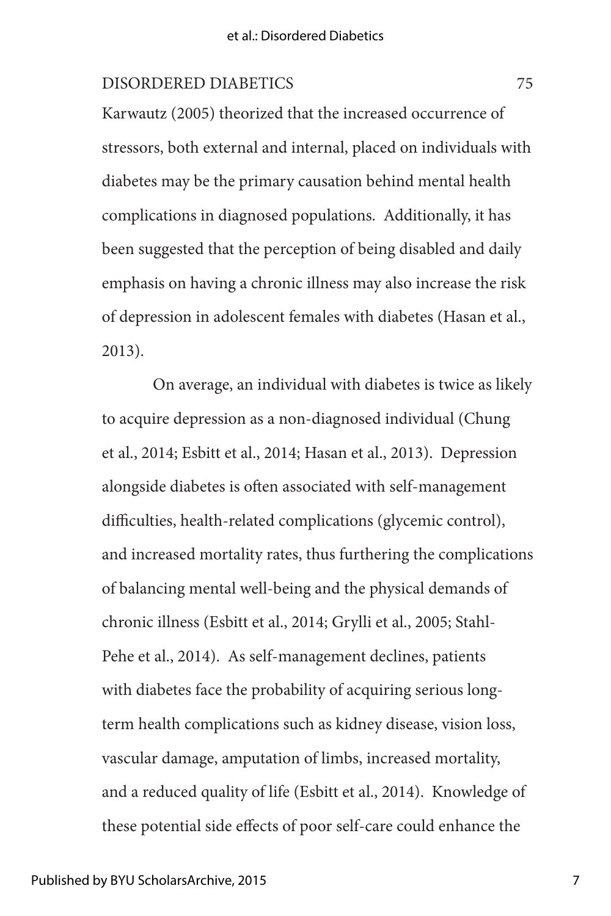Karwautz (2005) theorized that the increased occurrence of stressors, both external and internal, placed on individuals with diabetes may be the primary causation behind mental health complications in diagnosed populations. Additionally, it has been suggested that the perception of being disabled and daily emphasis on having a chronic illness may also increase the risk of depression in adolescent females with diabetes (Hasan et al., 2013).

On average, an individual with diabetes is twice as likely to acquire depression as a non-diagnosed individual (Chung et al., 2014; Esbitt et al., 2014; Hasan et al., 2013). Depression alongside diabetes is often associated with self-management difficulties, health-related complications (glycemic control), and increased mortality rates, thus furthering the complications of balancing mental well-being and the physical demands of chronic illness (Esbitt et al., 2014; Grylli et al., 2005; Stahl-Pehe et al., 2014). As self-management declines, patients with diabetes face the probability of acquiring serious longterm health complications such as kidney disease, vision loss, vascular damage, amputation of limbs, increased mortality, and a reduced quality of life (Esbitt et al., 2014). Knowledge of these potential side effects of poor self-care could enhance the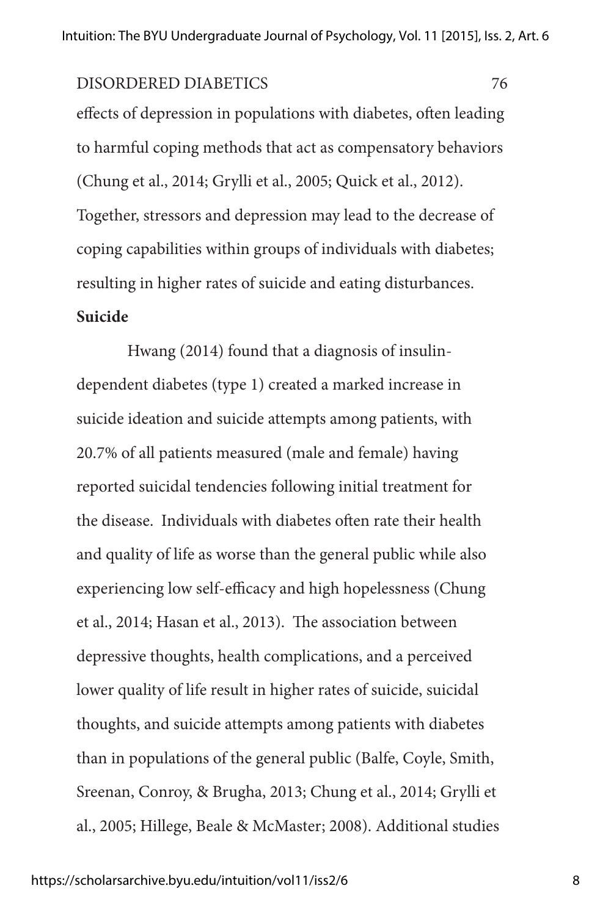effects of depression in populations with diabetes, often leading to harmful coping methods that act as compensatory behaviors (Chung et al., 2014; Grylli et al., 2005; Quick et al., 2012). Together, stressors and depression may lead to the decrease of coping capabilities within groups of individuals with diabetes; resulting in higher rates of suicide and eating disturbances.

## **Suicide**

Hwang (2014) found that a diagnosis of insulindependent diabetes (type 1) created a marked increase in suicide ideation and suicide attempts among patients, with 20.7% of all patients measured (male and female) having reported suicidal tendencies following initial treatment for the disease. Individuals with diabetes often rate their health and quality of life as worse than the general public while also experiencing low self-efficacy and high hopelessness (Chung et al., 2014; Hasan et al., 2013). The association between depressive thoughts, health complications, and a perceived lower quality of life result in higher rates of suicide, suicidal thoughts, and suicide attempts among patients with diabetes than in populations of the general public (Balfe, Coyle, Smith, Sreenan, Conroy, & Brugha, 2013; Chung et al., 2014; Grylli et al., 2005; Hillege, Beale & McMaster; 2008). Additional studies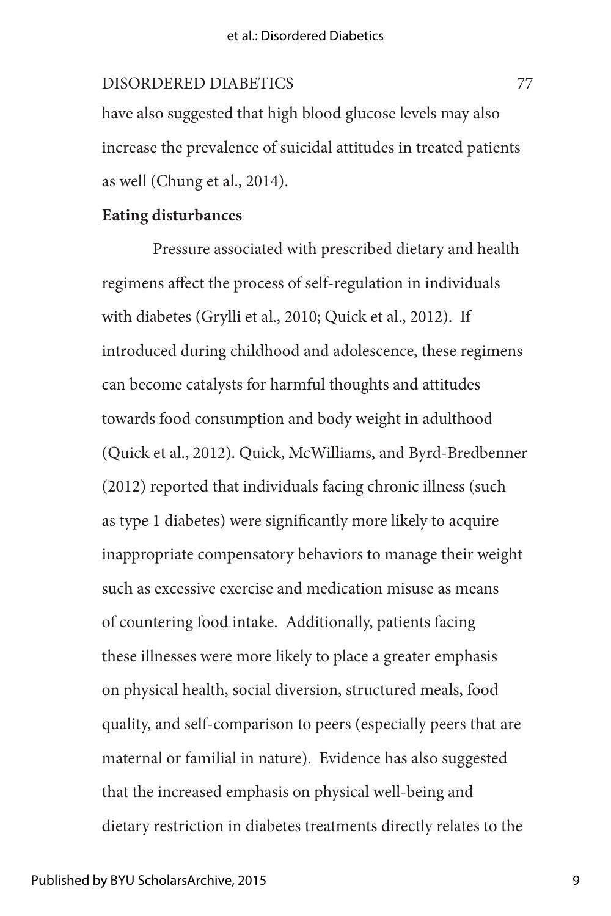have also suggested that high blood glucose levels may also increase the prevalence of suicidal attitudes in treated patients as well (Chung et al., 2014).

## **Eating disturbances**

Pressure associated with prescribed dietary and health regimens affect the process of self-regulation in individuals with diabetes (Grylli et al., 2010; Quick et al., 2012). If introduced during childhood and adolescence, these regimens can become catalysts for harmful thoughts and attitudes towards food consumption and body weight in adulthood (Quick et al., 2012). Quick, McWilliams, and Byrd-Bredbenner (2012) reported that individuals facing chronic illness (such as type 1 diabetes) were significantly more likely to acquire inappropriate compensatory behaviors to manage their weight such as excessive exercise and medication misuse as means of countering food intake. Additionally, patients facing these illnesses were more likely to place a greater emphasis on physical health, social diversion, structured meals, food quality, and self-comparison to peers (especially peers that are maternal or familial in nature). Evidence has also suggested that the increased emphasis on physical well-being and dietary restriction in diabetes treatments directly relates to the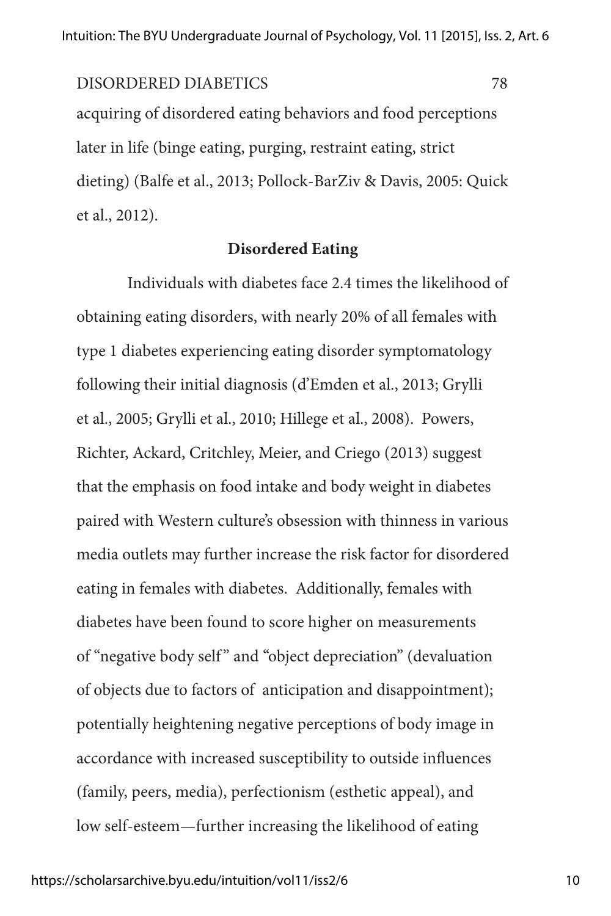acquiring of disordered eating behaviors and food perceptions later in life (binge eating, purging, restraint eating, strict dieting) (Balfe et al., 2013; Pollock-BarZiv & Davis, 2005: Quick et al., 2012). DISORDERED DIABETICS 78

### **Disordered Eating**

Individuals with diabetes face 2.4 times the likelihood of obtaining eating disorders, with nearly 20% of all females with type 1 diabetes experiencing eating disorder symptomatology following their initial diagnosis (d'Emden et al., 2013; Grylli et al., 2005; Grylli et al., 2010; Hillege et al., 2008). Powers, Richter, Ackard, Critchley, Meier, and Criego (2013) suggest that the emphasis on food intake and body weight in diabetes paired with Western culture's obsession with thinness in various media outlets may further increase the risk factor for disordered eating in females with diabetes. Additionally, females with diabetes have been found to score higher on measurements of "negative body self " and "object depreciation" (devaluation of objects due to factors of anticipation and disappointment); potentially heightening negative perceptions of body image in accordance with increased susceptibility to outside influences (family, peers, media), perfectionism (esthetic appeal), and low self-esteem—further increasing the likelihood of eating

10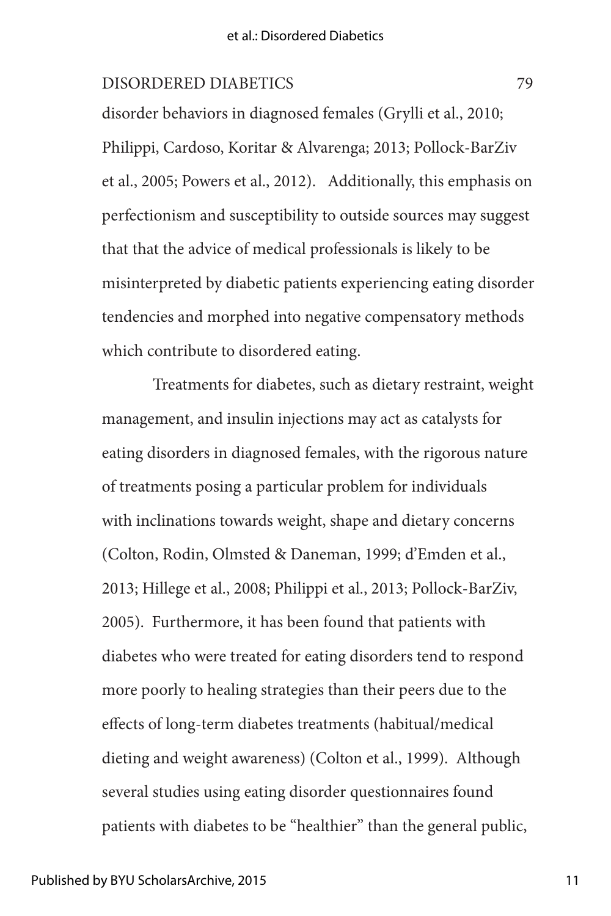disorder behaviors in diagnosed females (Grylli et al., 2010; Philippi, Cardoso, Koritar & Alvarenga; 2013; Pollock-BarZiv et al., 2005; Powers et al., 2012). Additionally, this emphasis on perfectionism and susceptibility to outside sources may suggest that that the advice of medical professionals is likely to be misinterpreted by diabetic patients experiencing eating disorder tendencies and morphed into negative compensatory methods which contribute to disordered eating.

Treatments for diabetes, such as dietary restraint, weight management, and insulin injections may act as catalysts for eating disorders in diagnosed females, with the rigorous nature of treatments posing a particular problem for individuals with inclinations towards weight, shape and dietary concerns (Colton, Rodin, Olmsted & Daneman, 1999; d'Emden et al., 2013; Hillege et al., 2008; Philippi et al., 2013; Pollock-BarZiv, 2005). Furthermore, it has been found that patients with diabetes who were treated for eating disorders tend to respond more poorly to healing strategies than their peers due to the effects of long-term diabetes treatments (habitual/medical dieting and weight awareness) (Colton et al., 1999). Although several studies using eating disorder questionnaires found patients with diabetes to be "healthier" than the general public,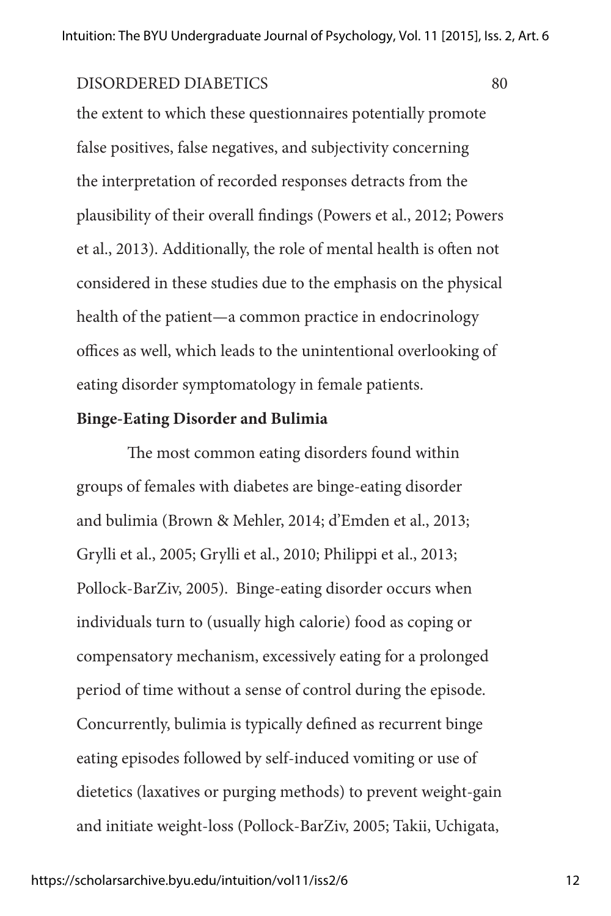the extent to which these questionnaires potentially promote false positives, false negatives, and subjectivity concerning the interpretation of recorded responses detracts from the plausibility of their overall findings (Powers et al., 2012; Powers et al., 2013). Additionally, the role of mental health is often not considered in these studies due to the emphasis on the physical health of the patient—a common practice in endocrinology offices as well, which leads to the unintentional overlooking of eating disorder symptomatology in female patients.

## **Binge-Eating Disorder and Bulimia**

The most common eating disorders found within groups of females with diabetes are binge-eating disorder and bulimia (Brown & Mehler, 2014; d'Emden et al., 2013; Grylli et al., 2005; Grylli et al., 2010; Philippi et al., 2013; Pollock-BarZiv, 2005). Binge-eating disorder occurs when individuals turn to (usually high calorie) food as coping or compensatory mechanism, excessively eating for a prolonged period of time without a sense of control during the episode. Concurrently, bulimia is typically defined as recurrent binge eating episodes followed by self-induced vomiting or use of dietetics (laxatives or purging methods) to prevent weight-gain and initiate weight-loss (Pollock-BarZiv, 2005; Takii, Uchigata,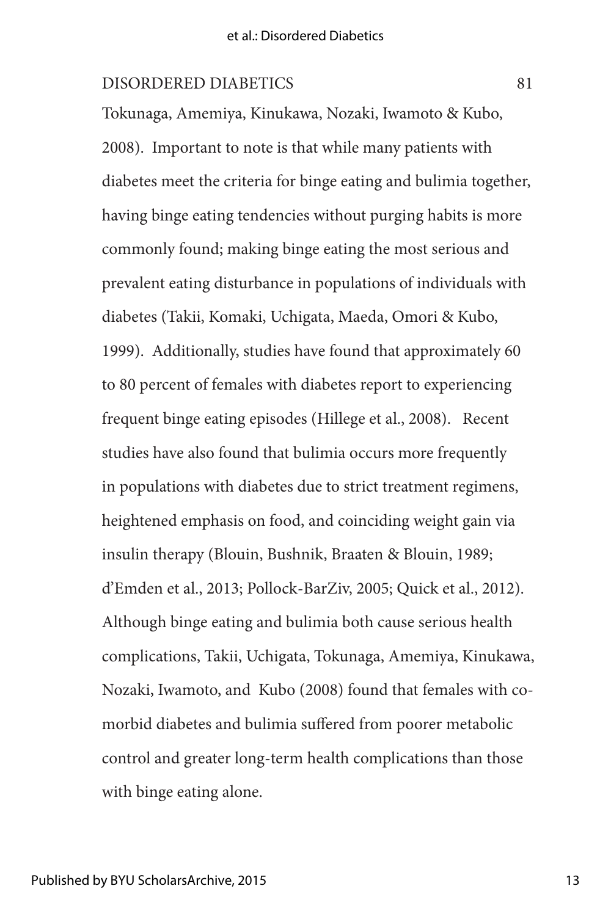Tokunaga, Amemiya, Kinukawa, Nozaki, Iwamoto & Kubo, 2008). Important to note is that while many patients with diabetes meet the criteria for binge eating and bulimia together, having binge eating tendencies without purging habits is more commonly found; making binge eating the most serious and prevalent eating disturbance in populations of individuals with diabetes (Takii, Komaki, Uchigata, Maeda, Omori & Kubo, 1999). Additionally, studies have found that approximately 60 to 80 percent of females with diabetes report to experiencing frequent binge eating episodes (Hillege et al., 2008). Recent studies have also found that bulimia occurs more frequently in populations with diabetes due to strict treatment regimens, heightened emphasis on food, and coinciding weight gain via insulin therapy (Blouin, Bushnik, Braaten & Blouin, 1989; d'Emden et al., 2013; Pollock-BarZiv, 2005; Quick et al., 2012). Although binge eating and bulimia both cause serious health complications, Takii, Uchigata, Tokunaga, Amemiya, Kinukawa, Nozaki, Iwamoto, and Kubo (2008) found that females with comorbid diabetes and bulimia suffered from poorer metabolic control and greater long-term health complications than those with binge eating alone.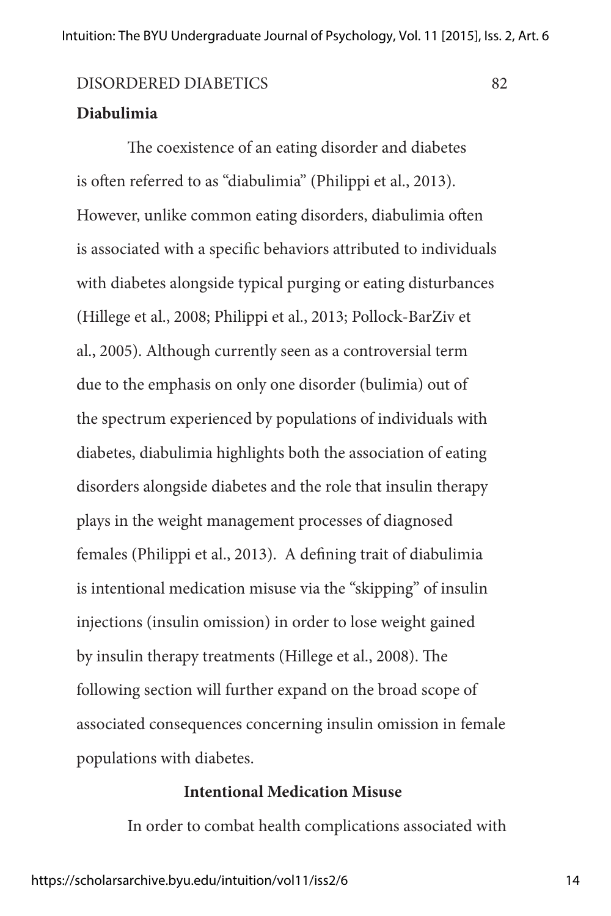## **Diabulimia**

The coexistence of an eating disorder and diabetes is often referred to as "diabulimia" (Philippi et al., 2013). However, unlike common eating disorders, diabulimia often is associated with a specific behaviors attributed to individuals with diabetes alongside typical purging or eating disturbances (Hillege et al., 2008; Philippi et al., 2013; Pollock-BarZiv et al., 2005). Although currently seen as a controversial term due to the emphasis on only one disorder (bulimia) out of the spectrum experienced by populations of individuals with diabetes, diabulimia highlights both the association of eating disorders alongside diabetes and the role that insulin therapy plays in the weight management processes of diagnosed females (Philippi et al., 2013). A defining trait of diabulimia is intentional medication misuse via the "skipping" of insulin injections (insulin omission) in order to lose weight gained by insulin therapy treatments (Hillege et al., 2008). The following section will further expand on the broad scope of associated consequences concerning insulin omission in female populations with diabetes.

## **Intentional Medication Misuse**

In order to combat health complications associated with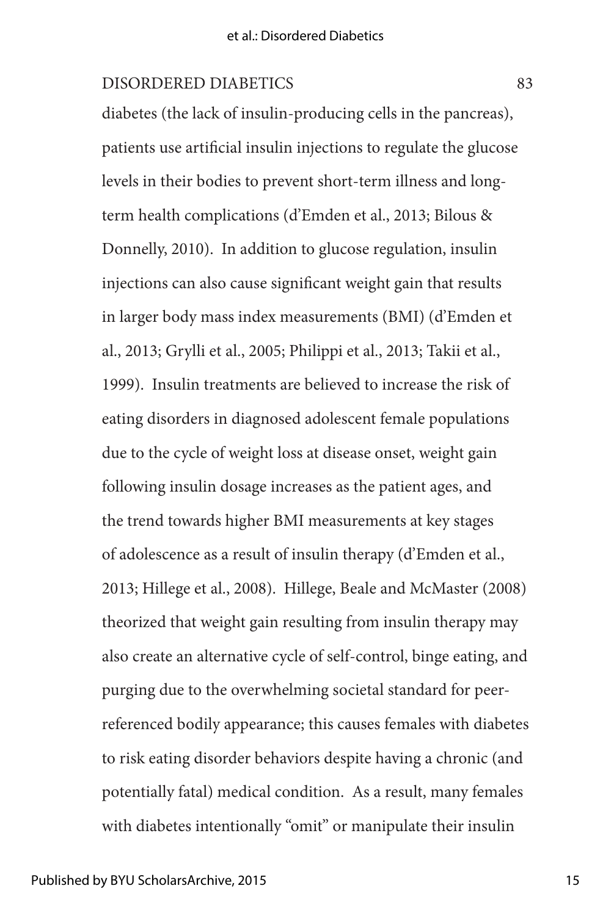diabetes (the lack of insulin-producing cells in the pancreas), patients use artificial insulin injections to regulate the glucose levels in their bodies to prevent short-term illness and longterm health complications (d'Emden et al., 2013; Bilous & Donnelly, 2010). In addition to glucose regulation, insulin injections can also cause significant weight gain that results in larger body mass index measurements (BMI) (d'Emden et al., 2013; Grylli et al., 2005; Philippi et al., 2013; Takii et al., 1999). Insulin treatments are believed to increase the risk of eating disorders in diagnosed adolescent female populations due to the cycle of weight loss at disease onset, weight gain following insulin dosage increases as the patient ages, and the trend towards higher BMI measurements at key stages of adolescence as a result of insulin therapy (d'Emden et al., 2013; Hillege et al., 2008). Hillege, Beale and McMaster (2008) theorized that weight gain resulting from insulin therapy may also create an alternative cycle of self-control, binge eating, and purging due to the overwhelming societal standard for peerreferenced bodily appearance; this causes females with diabetes to risk eating disorder behaviors despite having a chronic (and potentially fatal) medical condition. As a result, many females with diabetes intentionally "omit" or manipulate their insulin

15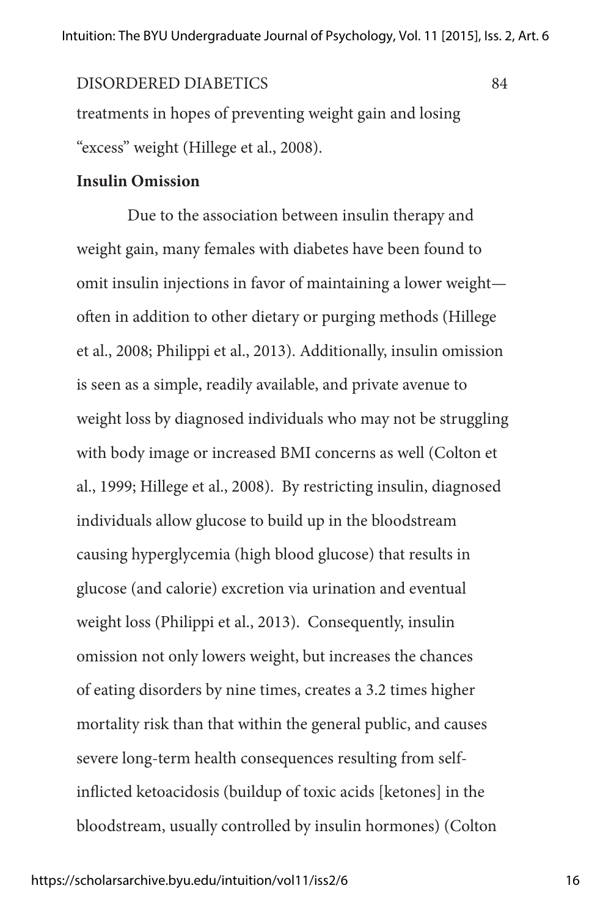## treatments in hopes of preventing weight gain and losing "excess" weight (Hillege et al., 2008). DISORDERED DIABETICS 84

## **Insulin Omission**

Due to the association between insulin therapy and weight gain, many females with diabetes have been found to omit insulin injections in favor of maintaining a lower weight often in addition to other dietary or purging methods (Hillege et al., 2008; Philippi et al., 2013). Additionally, insulin omission is seen as a simple, readily available, and private avenue to weight loss by diagnosed individuals who may not be struggling with body image or increased BMI concerns as well (Colton et al., 1999; Hillege et al., 2008). By restricting insulin, diagnosed individuals allow glucose to build up in the bloodstream causing hyperglycemia (high blood glucose) that results in glucose (and calorie) excretion via urination and eventual weight loss (Philippi et al., 2013). Consequently, insulin omission not only lowers weight, but increases the chances of eating disorders by nine times, creates a 3.2 times higher mortality risk than that within the general public, and causes severe long-term health consequences resulting from selfinflicted ketoacidosis (buildup of toxic acids [ketones] in the bloodstream, usually controlled by insulin hormones) (Colton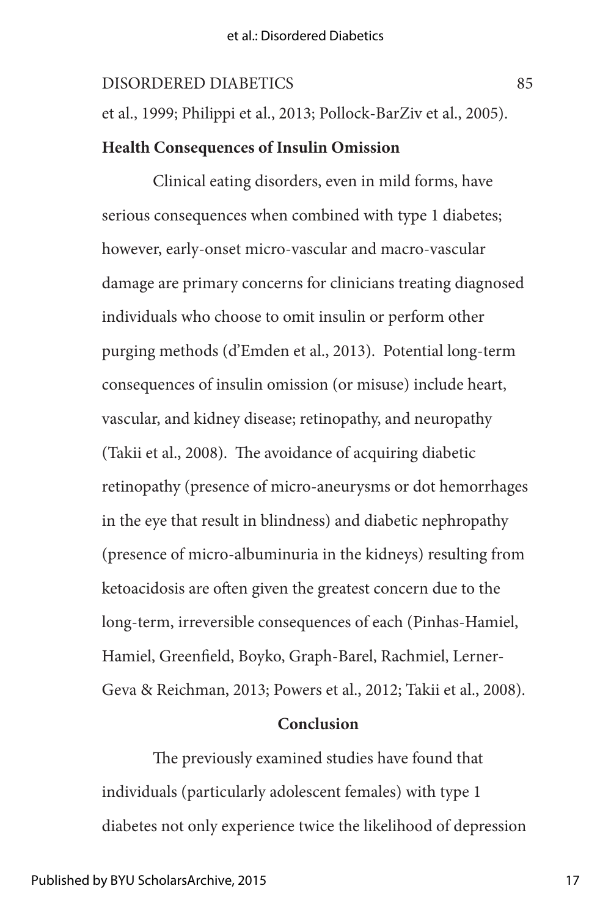et al., 1999; Philippi et al., 2013; Pollock-BarZiv et al., 2005).

## **Health Consequences of Insulin Omission**

Clinical eating disorders, even in mild forms, have serious consequences when combined with type 1 diabetes; however, early-onset micro-vascular and macro-vascular damage are primary concerns for clinicians treating diagnosed individuals who choose to omit insulin or perform other purging methods (d'Emden et al., 2013). Potential long-term consequences of insulin omission (or misuse) include heart, vascular, and kidney disease; retinopathy, and neuropathy (Takii et al., 2008). The avoidance of acquiring diabetic retinopathy (presence of micro-aneurysms or dot hemorrhages in the eye that result in blindness) and diabetic nephropathy (presence of micro-albuminuria in the kidneys) resulting from ketoacidosis are often given the greatest concern due to the long-term, irreversible consequences of each (Pinhas-Hamiel, Hamiel, Greenfield, Boyko, Graph-Barel, Rachmiel, Lerner-Geva & Reichman, 2013; Powers et al., 2012; Takii et al., 2008).

## **Conclusion**

The previously examined studies have found that individuals (particularly adolescent females) with type 1 diabetes not only experience twice the likelihood of depression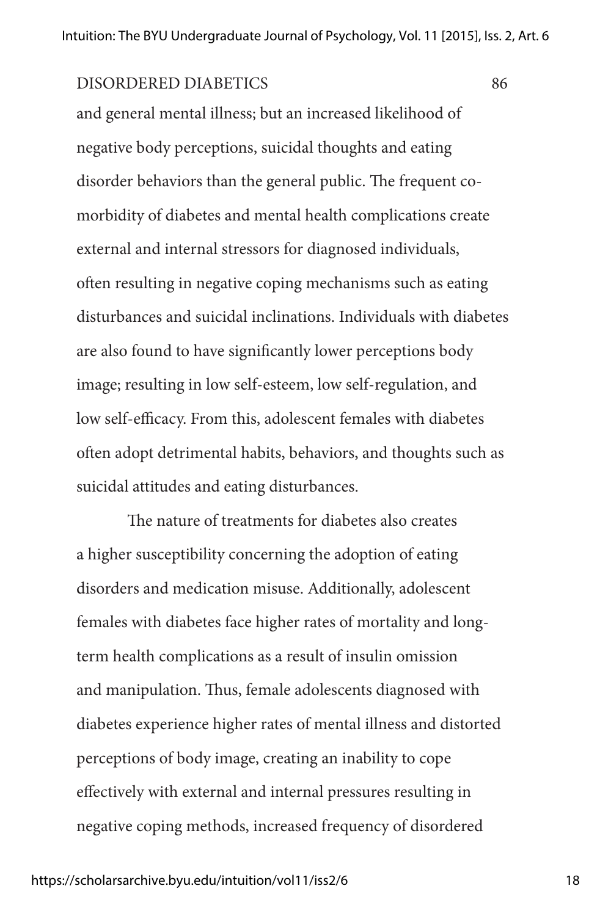and general mental illness; but an increased likelihood of negative body perceptions, suicidal thoughts and eating disorder behaviors than the general public. The frequent comorbidity of diabetes and mental health complications create external and internal stressors for diagnosed individuals, often resulting in negative coping mechanisms such as eating disturbances and suicidal inclinations. Individuals with diabetes are also found to have significantly lower perceptions body image; resulting in low self-esteem, low self-regulation, and low self-efficacy. From this, adolescent females with diabetes often adopt detrimental habits, behaviors, and thoughts such as suicidal attitudes and eating disturbances.

The nature of treatments for diabetes also creates a higher susceptibility concerning the adoption of eating disorders and medication misuse. Additionally, adolescent females with diabetes face higher rates of mortality and longterm health complications as a result of insulin omission and manipulation. Thus, female adolescents diagnosed with diabetes experience higher rates of mental illness and distorted perceptions of body image, creating an inability to cope effectively with external and internal pressures resulting in negative coping methods, increased frequency of disordered

18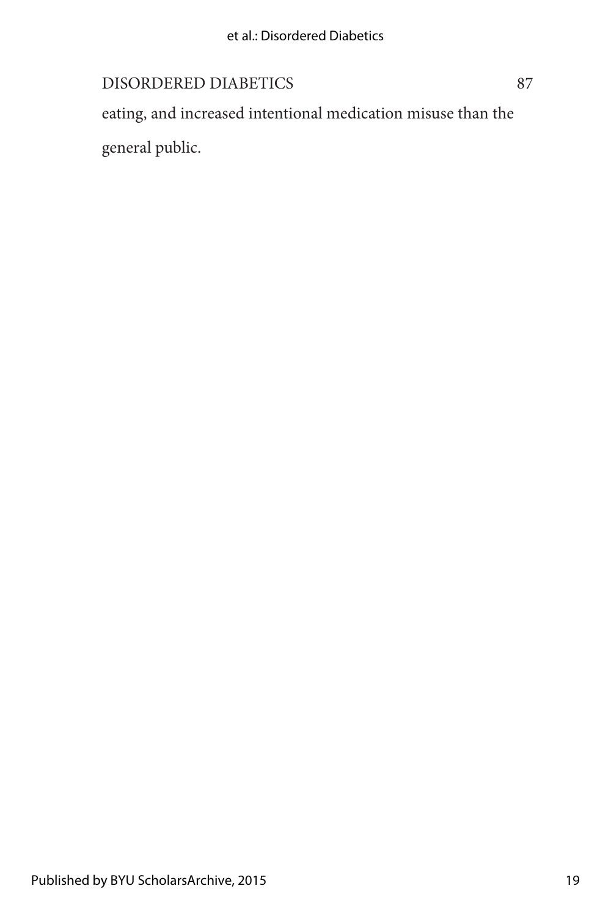eating, and increased intentional medication misuse than the general public.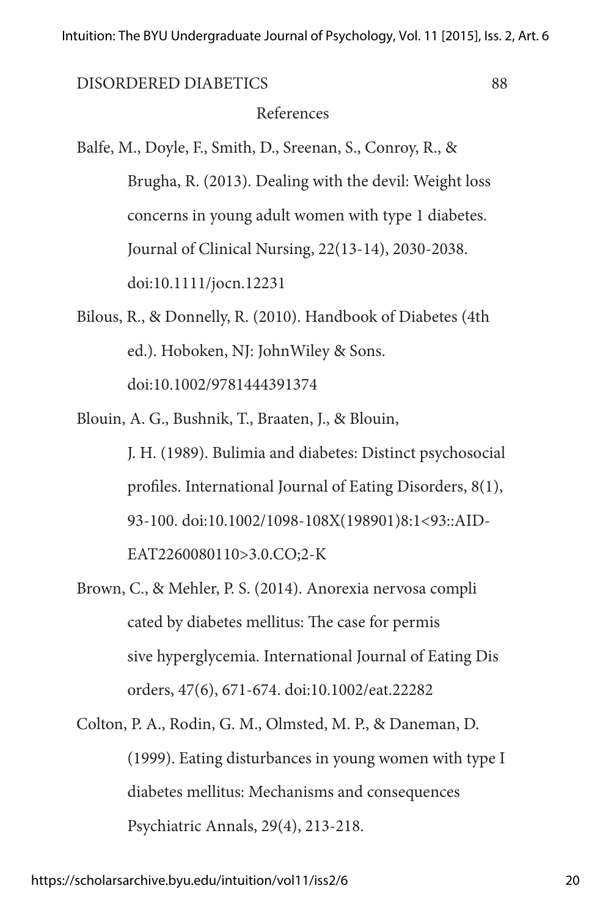## References

- Balfe, M., Doyle, F., Smith, D., Sreenan, S., Conroy, R., & Brugha, R. (2013). Dealing with the devil: Weight loss concerns in young adult women with type 1 diabetes. Journal of Clinical Nursing, 22(13-14), 2030-2038. doi:10.1111/jocn.12231
- Bilous, R., & Donnelly, R. (2010). Handbook of Diabetes (4th ed.). Hoboken, NJ: JohnWiley & Sons. doi:10.1002/9781444391374
- Blouin, A. G., Bushnik, T., Braaten, J., & Blouin, J. H. (1989). Bulimia and diabetes: Distinct psychosocial profiles. International Journal of Eating Disorders, 8(1), 93-100. doi:10.1002/1098-108X(198901)8:1<93::AID-EAT2260080110>3.0.CO;2-K
- Brown, C., & Mehler, P. S. (2014). Anorexia nervosa compli cated by diabetes mellitus: The case for permis sive hyperglycemia. International Journal of Eating Dis orders, 47(6), 671-674. doi:10.1002/eat.22282
- Colton, P. A., Rodin, G. M., Olmsted, M. P., & Daneman, D. (1999). Eating disturbances in young women with type I diabetes mellitus: Mechanisms and consequences Psychiatric Annals, 29(4), 213-218.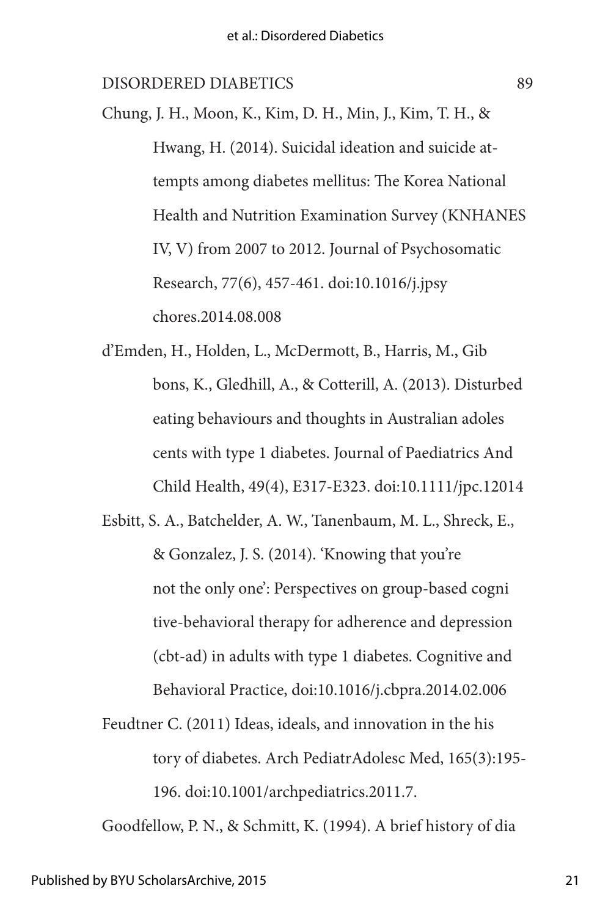Chung, J. H., Moon, K., Kim, D. H., Min, J., Kim, T. H., & Hwang, H. (2014). Suicidal ideation and suicide attempts among diabetes mellitus: The Korea National Health and Nutrition Examination Survey (KNHANES IV, V) from 2007 to 2012. Journal of Psychosomatic Research, 77(6), 457-461. doi:10.1016/j.jpsy chores.2014.08.008

d'Emden, H., Holden, L., McDermott, B., Harris, M., Gib bons, K., Gledhill, A., & Cotterill, A. (2013). Disturbed eating behaviours and thoughts in Australian adoles cents with type 1 diabetes. Journal of Paediatrics And Child Health, 49(4), E317-E323. doi:10.1111/jpc.12014

Esbitt, S. A., Batchelder, A. W., Tanenbaum, M. L., Shreck, E., & Gonzalez, J. S. (2014). 'Knowing that you're not the only one': Perspectives on group-based cogni tive-behavioral therapy for adherence and depression (cbt-ad) in adults with type 1 diabetes. Cognitive and Behavioral Practice, doi:10.1016/j.cbpra.2014.02.006

Feudtner C. (2011) Ideas, ideals, and innovation in the his tory of diabetes. Arch PediatrAdolesc Med, 165(3):195- 196. doi:10.1001/archpediatrics.2011.7.

Goodfellow, P. N., & Schmitt, K. (1994). A brief history of dia

21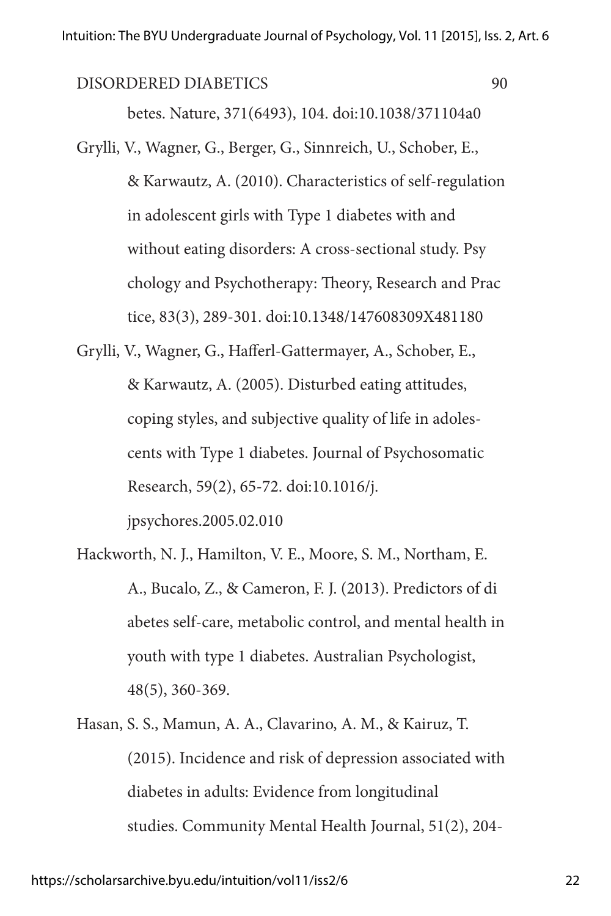betes. Nature, 371(6493), 104. doi:10.1038/371104a0

- Grylli, V., Wagner, G., Berger, G., Sinnreich, U., Schober, E., & Karwautz, A. (2010). Characteristics of self-regulation in adolescent girls with Type 1 diabetes with and without eating disorders: A cross-sectional study. Psy chology and Psychotherapy: Theory, Research and Prac tice, 83(3), 289-301. doi:10.1348/147608309X481180
- Grylli, V., Wagner, G., Hafferl-Gattermayer, A., Schober, E., & Karwautz, A. (2005). Disturbed eating attitudes, coping styles, and subjective quality of life in adolescents with Type 1 diabetes. Journal of Psychosomatic Research, 59(2), 65-72. doi:10.1016/j. jpsychores.2005.02.010
- Hackworth, N. J., Hamilton, V. E., Moore, S. M., Northam, E. A., Bucalo, Z., & Cameron, F. J. (2013). Predictors of di abetes self‐care, metabolic control, and mental health in youth with type 1 diabetes. Australian Psychologist, 48(5), 360-369.
- Hasan, S. S., Mamun, A. A., Clavarino, A. M., & Kairuz, T. (2015). Incidence and risk of depression associated with diabetes in adults: Evidence from longitudinal studies. Community Mental Health Journal, 51(2), 204-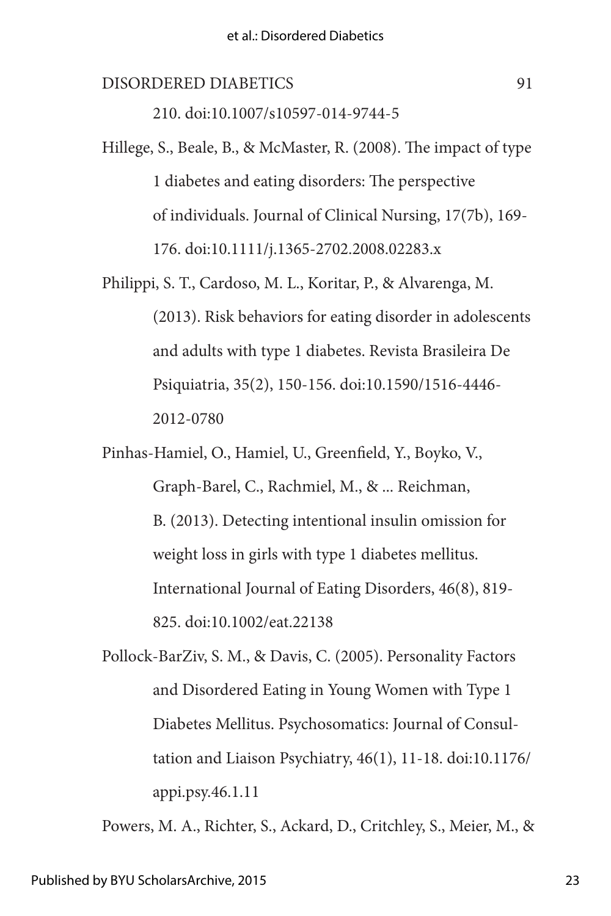210. doi:10.1007/s10597-014-9744-5

- Hillege, S., Beale, B., & McMaster, R. (2008). The impact of type 1 diabetes and eating disorders: The perspective of individuals. Journal of Clinical Nursing, 17(7b), 169- 176. doi:10.1111/j.1365-2702.2008.02283.x
- Philippi, S. T., Cardoso, M. L., Koritar, P., & Alvarenga, M. (2013). Risk behaviors for eating disorder in adolescents and adults with type 1 diabetes. Revista Brasileira De Psiquiatria, 35(2), 150-156. doi:10.1590/1516-4446- 2012-0780
- Pinhas‐Hamiel, O., Hamiel, U., Greenfield, Y., Boyko, V., Graph‐Barel, C., Rachmiel, M., & ... Reichman, B. (2013). Detecting intentional insulin omission for weight loss in girls with type 1 diabetes mellitus. International Journal of Eating Disorders, 46(8), 819- 825. doi:10.1002/eat.22138
- Pollock-BarZiv, S. M., & Davis, C. (2005). Personality Factors and Disordered Eating in Young Women with Type 1 Diabetes Mellitus. Psychosomatics: Journal of Consultation and Liaison Psychiatry, 46(1), 11-18. doi:10.1176/ appi.psy.46.1.11

Powers, M. A., Richter, S., Ackard, D., Critchley, S., Meier, M., &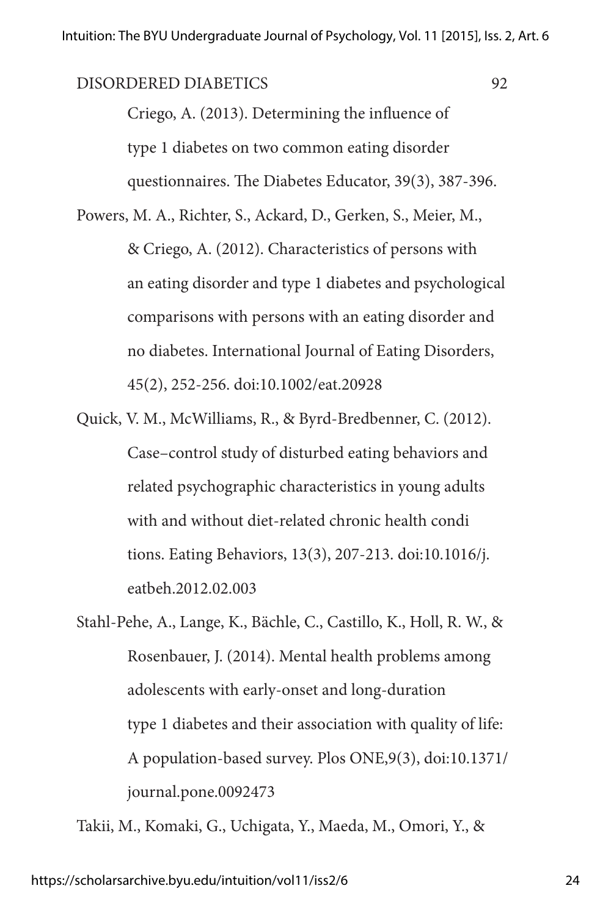Criego, A. (2013). Determining the influence of type 1 diabetes on two common eating disorder questionnaires. The Diabetes Educator, 39(3), 387-396.

Powers, M. A., Richter, S., Ackard, D., Gerken, S., Meier, M., & Criego, A. (2012). Characteristics of persons with an eating disorder and type 1 diabetes and psychological comparisons with persons with an eating disorder and no diabetes. International Journal of Eating Disorders, 45(2), 252-256. doi:10.1002/eat.20928

Quick, V. M., McWilliams, R., & Byrd-Bredbenner, C. (2012). Case–control study of disturbed eating behaviors and related psychographic characteristics in young adults with and without diet-related chronic health condi tions. Eating Behaviors, 13(3), 207-213. doi:10.1016/j. eatbeh.2012.02.003

Stahl-Pehe, A., Lange, K., Bächle, C., Castillo, K., Holl, R. W., & Rosenbauer, J. (2014). Mental health problems among adolescents with early-onset and long-duration type 1 diabetes and their association with quality of life: A population-based survey. Plos ONE,9(3), doi:10.1371/ journal.pone.0092473

Takii, M., Komaki, G., Uchigata, Y., Maeda, M., Omori, Y., &